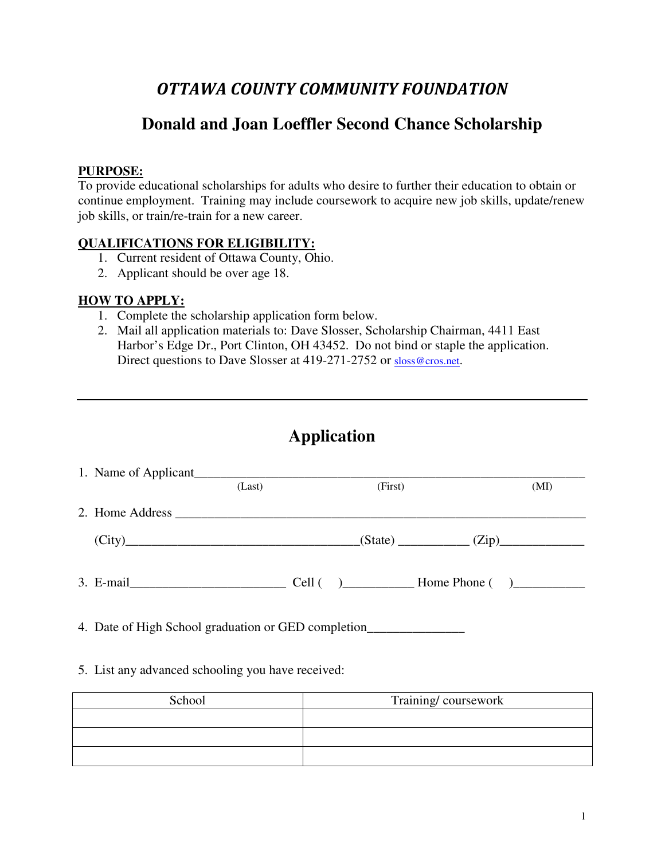# OTTAWA COUNTY COMMUNITY FOUNDATION

# **Donald and Joan Loeffler Second Chance Scholarship**

## **PURPOSE:**

To provide educational scholarships for adults who desire to further their education to obtain or continue employment. Training may include coursework to acquire new job skills, update/renew job skills, or train/re-train for a new career.

#### **QUALIFICATIONS FOR ELIGIBILITY:**

- 1. Current resident of Ottawa County, Ohio.
- 2. Applicant should be over age 18.

#### **HOW TO APPLY:**

- 1. Complete the scholarship application form below.
- 2. Mail all application materials to: Dave Slosser, Scholarship Chairman, 4411 East Harbor's Edge Dr., Port Clinton, OH 43452. Do not bind or staple the application. Direct questions to Dave Slosser at 419-271-2752 or sloss@cros.net.

|                                                                                   | (Last) | (First) |                   | (MI) |
|-----------------------------------------------------------------------------------|--------|---------|-------------------|------|
|                                                                                   |        |         |                   |      |
| $\text{(City)}$                                                                   |        |         | $(State)$ $(Zip)$ |      |
|                                                                                   |        |         |                   |      |
|                                                                                   |        |         |                   |      |
| 4. Date of High School graduation or GED completion______________________________ |        |         |                   |      |

## 5. List any advanced schooling you have received:

| School | Training/coursework |  |  |
|--------|---------------------|--|--|
|        |                     |  |  |
|        |                     |  |  |
|        |                     |  |  |